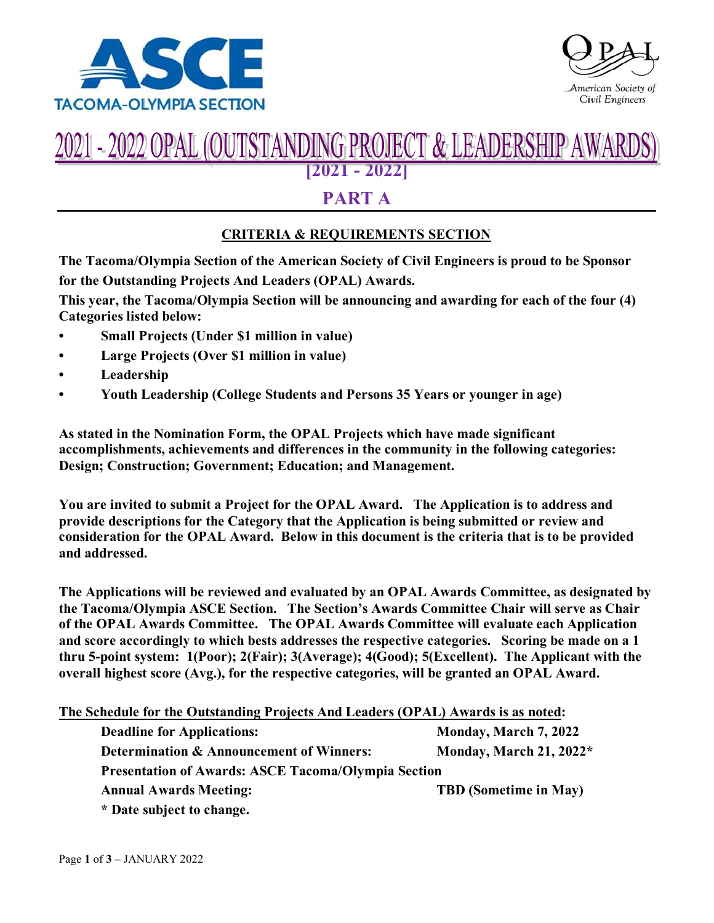



#### $(FPR()$ T & LEADERSHIP **[2021 - 2022]**

# **PART A**

### **CRITERIA & REQUIREMENTS SECTION**

**The Tacoma/Olympia Section of the American Society of Civil Engineers is proud to be Sponsor for the Outstanding Projects And Leaders (OPAL) Awards.** 

**This year, the Tacoma/Olympia Section will be announcing and awarding for each of the four (4) Categories listed below:**

- **• Small Projects (Under \$1 million in value)**
- **• Large Projects (Over \$1 million in value)**
- **• Leadership**
- **• Youth Leadership (College Students and Persons 35 Years or younger in age)**

**As stated in the Nomination Form, the OPAL Projects which have made significant accomplishments, achievements and differences in the community in the following categories: Design; Construction; Government; Education; and Management.**

**You are invited to submit a Project for the OPAL Award. The Application is to address and provide descriptions for the Category that the Application is being submitted or review and consideration for the OPAL Award. Below in this document is the criteria that is to be provided and addressed.**

**The Applications will be reviewed and evaluated by an OPAL Awards Committee, as designated by the Tacoma/Olympia ASCE Section. The Section's Awards Committee Chair will serve as Chair of the OPAL Awards Committee. The OPAL Awards Committee will evaluate each Application and score accordingly to which bests addresses the respective categories. Scoring be made on a 1 thru 5-point system: 1(Poor); 2(Fair); 3(Average); 4(Good); 5(Excellent). The Applicant with the overall highest score (Avg.), for the respective categories, will be granted an OPAL Award.**

| The Schedule for the Outstanding Projects And Leaders (OPAL) Awards is as noted: |                              |
|----------------------------------------------------------------------------------|------------------------------|
| <b>Deadline for Applications:</b>                                                | Monday, March 7, 2022        |
| Determination & Announcement of Winners:                                         | Monday, March 21, 2022*      |
| <b>Presentation of Awards: ASCE Tacoma/Olympia Section</b>                       |                              |
| <b>Annual Awards Meeting:</b>                                                    | <b>TBD</b> (Sometime in May) |
| * Date subject to change.                                                        |                              |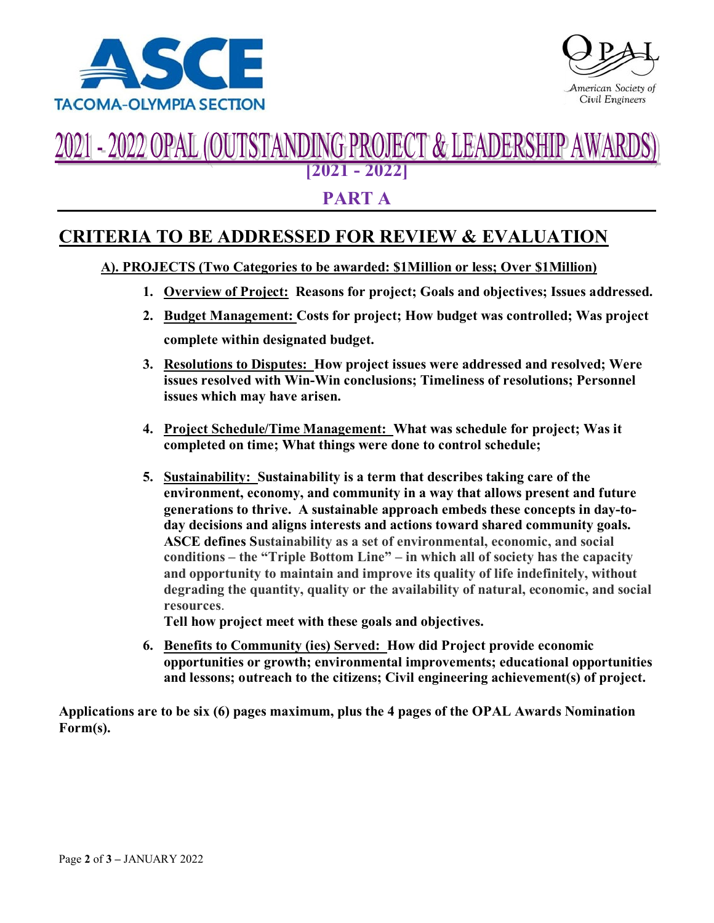



#### 21 - 2022 OPAL (OU TSTANDING PROJEC A LEADERSHIP **[2021 - 2022]**

## **PART A**

# **CRITERIA TO BE ADDRESSED FOR REVIEW & EVALUATION**

### **A). PROJECTS (Two Categories to be awarded: \$1Million or less; Over \$1Million)**

- **1. Overview of Project: Reasons for project; Goals and objectives; Issues addressed.**
- **2. Budget Management: Costs for project; How budget was controlled; Was project complete within designated budget.**
- **3. Resolutions to Disputes: How project issues were addressed and resolved; Were issues resolved with Win-Win conclusions; Timeliness of resolutions; Personnel issues which may have arisen.**
- **4. Project Schedule/Time Management: What was schedule for project; Was it completed on time; What things were done to control schedule;**
- **5. Sustainability: Sustainability is a term that describes taking care of the environment, economy, and community in a way that allows present and future generations to thrive. A sustainable approach embeds these concepts in day-today decisions and aligns interests and actions toward shared community goals. ASCE defines Sustainability as a set of environmental, economic, and social conditions – the "Triple Bottom Line" – in which all of society has the capacity and opportunity to maintain and improve its quality of life indefinitely, without degrading the quantity, quality or the availability of natural, economic, and social resources**.

**Tell how project meet with these goals and objectives.**

**6. Benefits to Community (ies) Served: How did Project provide economic opportunities or growth; environmental improvements; educational opportunities and lessons; outreach to the citizens; Civil engineering achievement(s) of project.**

**Applications are to be six (6) pages maximum, plus the 4 pages of the OPAL Awards Nomination Form(s).**